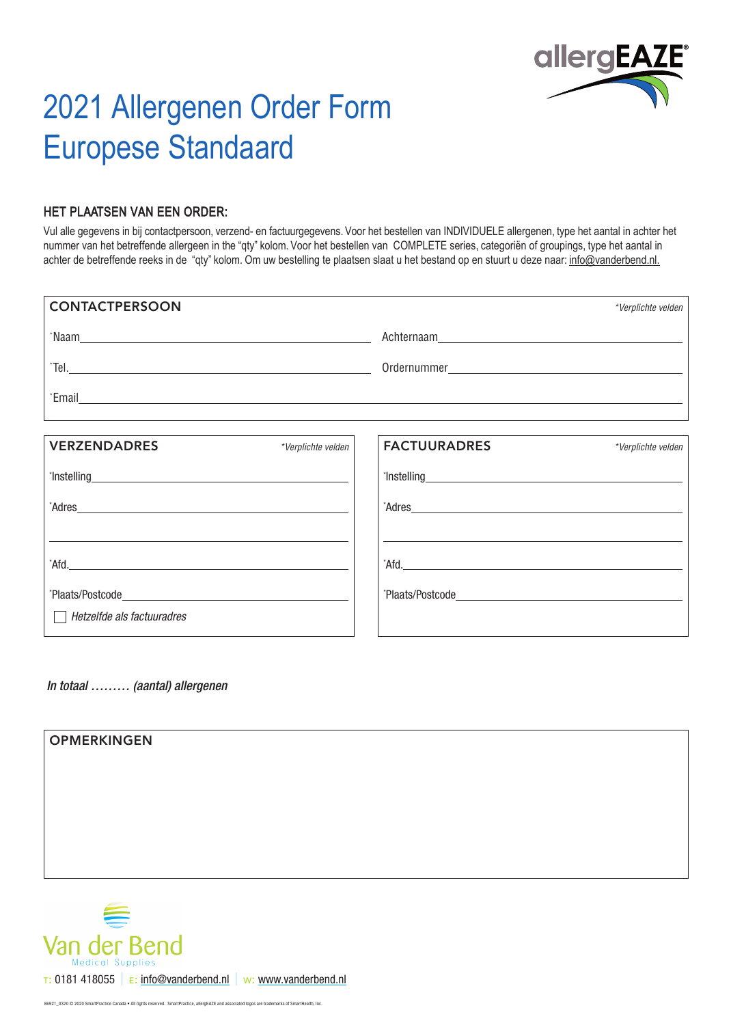

## 2021 Allergenen Order Form Europese Standaard

## HET PLAATSEN VAN EEN ORDER:

Vul alle gegevens in bij contactpersoon, verzend- en factuurgegevens. Voor het bestellen van INDIVIDUELE allergenen, type het aantal in achter het nummer van het betreffende allergeen in the "qty" kolom. Voor het bestellen van COMPLETE series, categoriën of groupings, type het aantal in achter de betreffende reeks in de "qty" kolom. Om uw bestelling te plaatsen slaat u het bestand op en stuurt u deze naar: info@vanderbend.nl.

| <b>CONTACTPERSOON</b>                                                                                                                                                                                                               |                                                                                                                                                                                                                               | *Verplichte velden |
|-------------------------------------------------------------------------------------------------------------------------------------------------------------------------------------------------------------------------------------|-------------------------------------------------------------------------------------------------------------------------------------------------------------------------------------------------------------------------------|--------------------|
|                                                                                                                                                                                                                                     |                                                                                                                                                                                                                               |                    |
|                                                                                                                                                                                                                                     |                                                                                                                                                                                                                               |                    |
|                                                                                                                                                                                                                                     |                                                                                                                                                                                                                               |                    |
|                                                                                                                                                                                                                                     |                                                                                                                                                                                                                               |                    |
| <b>VERZENDADRES</b><br>*Verplichte velden                                                                                                                                                                                           | <b>FACTUURADRES</b>                                                                                                                                                                                                           | *Verplichte velden |
| <b>This telling</b> and the contract of the contract of the contract of the contract of the contract of the contract of the contract of the contract of the contract of the contract of the contract of the contract of the contrac | <b>This telling Contains the Containing Container and Container and Container Container Container Container</b>                                                                                                               |                    |
| Adres and the contract of the contract of the contract of the contract of the contract of the contract of the contract of the contract of the contract of the contract of the contract of the contract of the contract of the       | Adres and the contract of the contract of the contract of the contract of the contract of the contract of the contract of the contract of the contract of the contract of the contract of the contract of the contract of the |                    |
|                                                                                                                                                                                                                                     |                                                                                                                                                                                                                               |                    |
| Afd.                                                                                                                                                                                                                                |                                                                                                                                                                                                                               |                    |
|                                                                                                                                                                                                                                     |                                                                                                                                                                                                                               |                    |
| Hetzelfde als factuuradres<br>$\mathbf{I}$                                                                                                                                                                                          |                                                                                                                                                                                                                               |                    |

*In totaal ……… (aantal) allergenen*